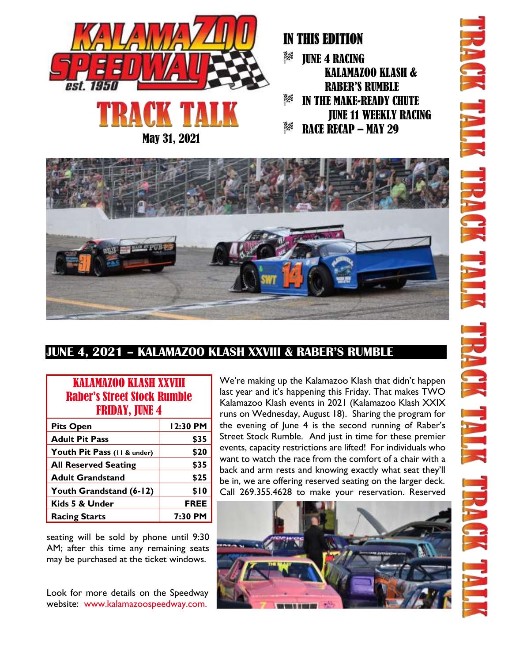

May 31, 2021

### IN THIS EDITION

認為 JUNE 4 RACING KALAMAZOO KLASH & RABER'S RUMBLE 8% IN THE MAKE-READY CHUTE JUNE 11 WEEKLY RACING BX. RACE RECAP – MAY 29



### **JUNE 4, 2021 – KALAMAZOO KLASH XXVIII & RABER'S RUMBLE**

| <b>KALAMAZOO KLASH XXVIII</b><br><b>Raber's Street Stock Rumble</b><br><b>FRIDAY, JUNE 4</b> |             |  |
|----------------------------------------------------------------------------------------------|-------------|--|
| <b>Pits Open</b>                                                                             | 12:30 PM    |  |
| <b>Adult Pit Pass</b>                                                                        | \$35        |  |
| Youth Pit Pass (11 & under)                                                                  | \$20        |  |
| <b>All Reserved Seating</b>                                                                  | \$35        |  |
| <b>Adult Grandstand</b>                                                                      | \$25        |  |
| Youth Grandstand (6-12)                                                                      | \$10        |  |
| Kids 5 & Under                                                                               | <b>FREE</b> |  |
| <b>Racing Starts</b>                                                                         | 7:30 PM     |  |

seating will be sold by phone until 9:30 AM; after this time any remaining seats may be purchased at the ticket windows.

Look for more details on the Speedway website: www.kalamazoospeedway.com.

We're making up the Kalamazoo Klash that didn't happen last year and it's happening this Friday. That makes TWO Kalamazoo Klash events in 2021 (Kalamazoo Klash XXIX runs on Wednesday, August 18). Sharing the program for the evening of June 4 is the second running of Raber's Street Stock Rumble. And just in time for these premier events, capacity restrictions are lifted! For individuals who want to watch the race from the comfort of a chair with a back and arm rests and knowing exactly what seat they'll be in, we are offering reserved seating on the larger deck. Call 269.355.4628 to make your reservation. Reserved

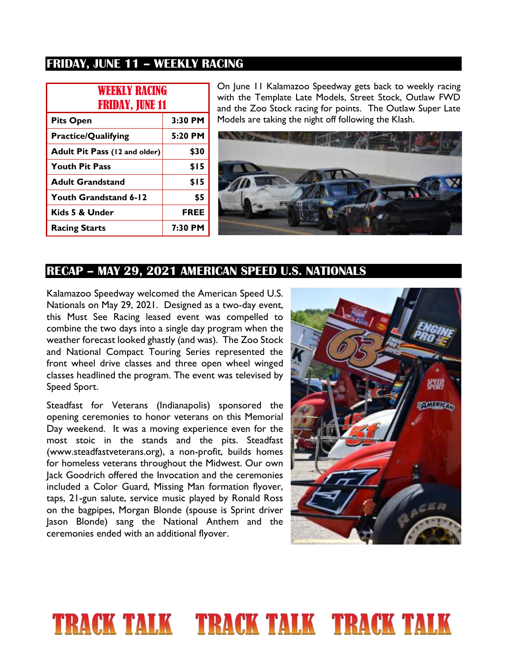#### **FRIDAY, JUNE 11 – WEEKLY RACING**

| <b>WEEKLY RACING</b><br><b>FRIDAY, JUNE 11</b> |             |
|------------------------------------------------|-------------|
| <b>Pits Open</b>                               | $3:30$ PM   |
| <b>Practice/Qualifying</b>                     | 5:20 PM     |
| Adult Pit Pass (12 and older)                  | \$30        |
| <b>Youth Pit Pass</b>                          | \$15        |
| <b>Adult Grandstand</b>                        | \$15        |
| Youth Grandstand 6-12                          | \$5         |
| Kids 5 & Under                                 | <b>FREE</b> |
| <b>Racing Starts</b>                           | 7:30 PM     |

On June 11 Kalamazoo Speedway gets back to weekly racing with the Template Late Models, Street Stock, Outlaw FWD and the Zoo Stock racing for points. The Outlaw Super Late Models are taking the night off following the Klash.



#### **RECAP – MAY 29, 2021 AMERICAN SPEED U.S. NATIONALS**

Kalamazoo Speedway welcomed the American Speed U.S. Nationals on May 29, 2021. Designed as a two-day event, this Must See Racing leased event was compelled to combine the two days into a single day program when the weather forecast looked ghastly (and was). The Zoo Stock and National Compact Touring Series represented the front wheel drive classes and three open wheel winged classes headlined the program. The event was televised by Speed Sport.

Steadfast for Veterans (Indianapolis) sponsored the opening ceremonies to honor veterans on this Memorial Day weekend. It was a moving experience even for the most stoic in the stands and the pits. Steadfast (www.steadfastveterans.org), a non-profit, builds homes for homeless veterans throughout the Midwest. Our own Jack Goodrich offered the Invocation and the ceremonies included a Color Guard, Missing Man formation flyover, taps, 21-gun salute, service music played by Ronald Ross on the bagpipes, Morgan Blonde (spouse is Sprint driver Jason Blonde) sang the National Anthem and the ceremonies ended with an additional flyover.



## **TRACK TALK FRACK TALK TRACK TALK**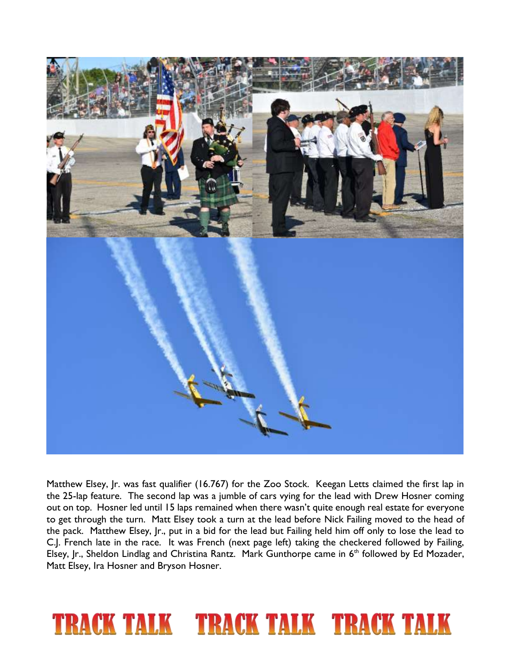

Matthew Elsey, Jr. was fast qualifier (16.767) for the Zoo Stock. Keegan Letts claimed the first lap in the 25-lap feature. The second lap was a jumble of cars vying for the lead with Drew Hosner coming out on top. Hosner led until 15 laps remained when there wasn't quite enough real estate for everyone to get through the turn. Matt Elsey took a turn at the lead before Nick Failing moved to the head of the pack. Matthew Elsey, Jr., put in a bid for the lead but Failing held him off only to lose the lead to C.J. French late in the race. It was French (next page left) taking the checkered followed by Failing, Elsey, Jr., Sheldon Lindlag and Christina Rantz. Mark Gunthorpe came in 6<sup>th</sup> followed by Ed Mozader, Matt Elsey, Ira Hosner and Bryson Hosner.

# **TRACK TALK TRACK TALK TRACK TALK**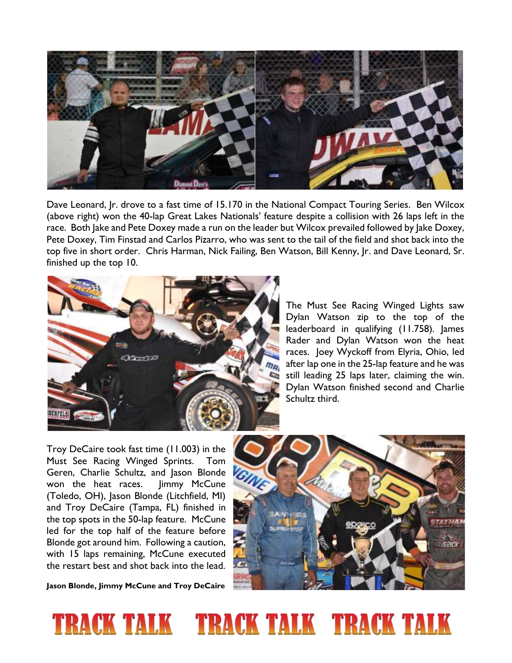

Dave Leonard, Jr. drove to a fast time of 15.170 in the National Compact Touring Series. Ben Wilcox (above right) won the 40-lap Great Lakes Nationals' feature despite a collision with 26 laps left in the race. Both Jake and Pete Doxey made a run on the leader but Wilcox prevailed followed by Jake Doxey, Pete Doxey, Tim Finstad and Carlos Pizarro, who was sent to the tail of the field and shot back into the top five in short order. Chris Harman, Nick Failing, Ben Watson, Bill Kenny, Jr. and Dave Leonard, Sr. finished up the top 10.



The Must See Racing Winged Lights saw Dylan Watson zip to the top of the leaderboard in qualifying (11.758). James Rader and Dylan Watson won the heat races. Joey Wyckoff from Elyria, Ohio, led after lap one in the 25-lap feature and he was still leading 25 laps later, claiming the win. Dylan Watson finished second and Charlie Schultz third.

Troy DeCaire took fast time (11.003) in the Must See Racing Winged Sprints. Tom Geren, Charlie Schultz, and Jason Blonde won the heat races. Jimmy McCune (Toledo, OH), Jason Blonde (Litchfield, MI) and Troy DeCaire (Tampa, FL) finished in the top spots in the 50-lap feature. McCune led for the top half of the feature before Blonde got around him. Following a caution, with 15 laps remaining, McCune executed the restart best and shot back into the lead.

**Jason Blonde, Jimmy McCune and Troy DeCaire**



## TRACK TALK TRACK TALK TRACK TALK